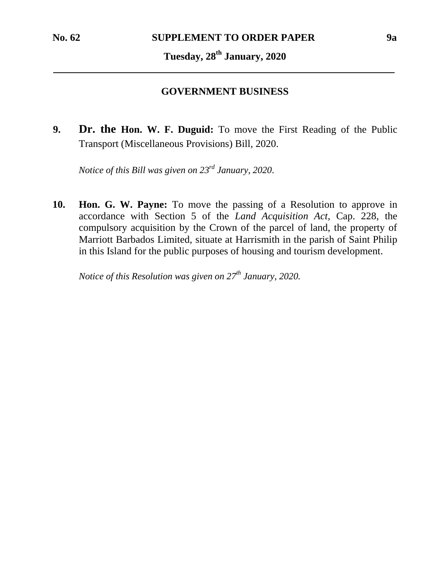## **Tuesday, 28th January, 2020**

## **GOVERNMENT BUSINESS**

**9. Dr. the Hon. W. F. Duguid:** To move the First Reading of the Public Transport (Miscellaneous Provisions) Bill, 2020.

*Notice of this Bill was given on 23rd January, 2020*.

**10. Hon. G. W. Payne:** To move the passing of a Resolution to approve in accordance with Section 5 of the *Land Acquisition Act*, Cap. 228, the compulsory acquisition by the Crown of the parcel of land, the property of Marriott Barbados Limited, situate at Harrismith in the parish of Saint Philip in this Island for the public purposes of housing and tourism development.

*Notice of this Resolution was given on 27th January, 2020.*